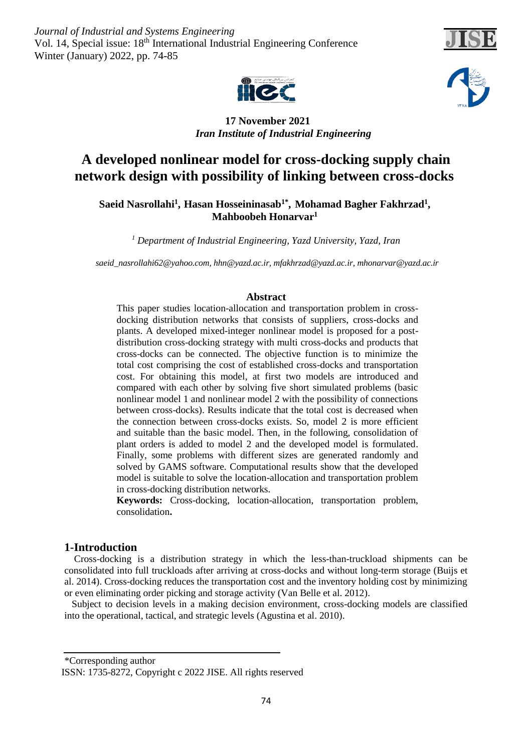*Journal of Industrial and Systems Engineering* Vol. 14, Special issue: 18<sup>th</sup> International Industrial Engineering Conference Winter (January) 2022, pp. 74-85







# **17 November 2021** *Iran Institute of Industrial Engineering*

# **A developed nonlinear model for cross-docking supply chain network design with possibility of linking between cross-docks**

Saeid Nasrollahi<sup>1</sup>, Hasan Hosseininasab<sup>1\*</sup>, Mohamad Bagher Fakhrzad<sup>1</sup>, **Mahboobeh Honarvar<sup>1</sup>**

*Department of Industrial Engineering, Yazd University, Yazd, Iran <sup>1</sup>*

*saeid\_nasrollahi62@yahoo.com, [hhn@yazd.ac.ir,](mailto:hhn@yazd.ac.ir) [mfakhrzad@yazd.ac.ir,](mailto:mfakhrzad@yazd.ac.ir) mhonarvar@yazd.ac.ir*

# **Abstract**

This paper studies location-allocation and transportation problem in crossdocking distribution networks that consists of suppliers, cross-docks and plants. A developed mixed-integer nonlinear model is proposed for a postdistribution cross-docking strategy with multi cross-docks and products that cross-docks can be connected. The objective function is to minimize the total cost comprising the cost of established cross-docks and transportation cost. For obtaining this model, at first two models are introduced and compared with each other by solving five short simulated problems (basic nonlinear model 1 and nonlinear model 2 with the possibility of connections between cross-docks). Results indicate that the total cost is decreased when the connection between cross-docks exists. So, model 2 is more efficient and suitable than the basic model. Then, in the following, consolidation of plant orders is added to model 2 and the developed model is formulated. Finally, some problems with different sizes are generated randomly and solved by GAMS software. Computational results show that the developed model is suitable to solve the location-allocation and transportation problem in cross-docking distribution networks.

**Keywords:** Cross-docking, location-allocation, transportation problem, consolidation**.**

# **1-Introduction**

 Cross-docking is a distribution strategy in which the less-than-truckload shipments can be consolidated into full truckloads after arriving at cross-docks and without long-term storage (Buijs et al. 2014). Cross-docking reduces the transportation cost and the inventory holding cost by minimizing or even eliminating order picking and storage activity (Van Belle et al. 2012).

 Subject to decision levels in a making decision environment, cross-docking models are classified into the operational, tactical, and strategic levels (Agustina et al. 2010).

\*Corresponding author

ISSN: 1735-8272, Copyright c 2022 JISE. All rights reserved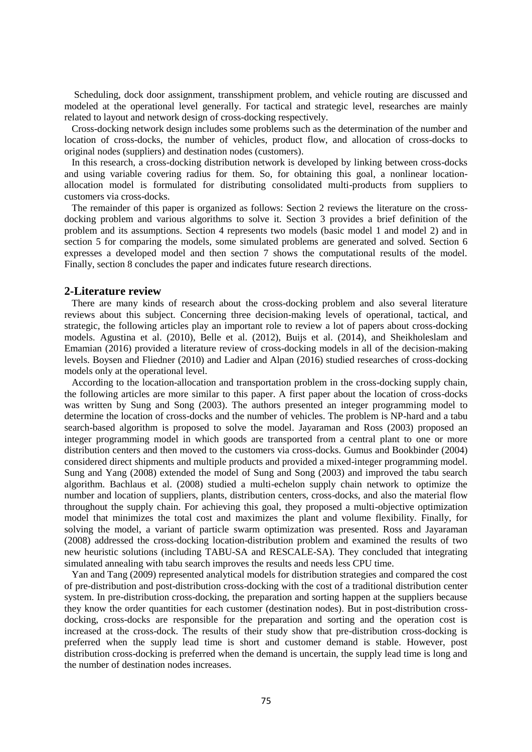Scheduling, dock door assignment, transshipment problem, and vehicle routing are discussed and modeled at the operational level generally. For tactical and strategic level, researches are mainly related to layout and network design of cross-docking respectively.

 Cross-docking network design includes some problems such as the determination of the number and location of cross-docks, the number of vehicles, product flow, and allocation of cross-docks to original nodes (suppliers) and destination nodes (customers).

 In this research, a cross-docking distribution network is developed by linking between cross-docks and using variable covering radius for them. So, for obtaining this goal, a nonlinear locationallocation model is formulated for distributing consolidated multi-products from suppliers to customers via cross-docks.

 The remainder of this paper is organized as follows: Section 2 reviews the literature on the crossdocking problem and various algorithms to solve it. Section 3 provides a brief definition of the problem and its assumptions. Section 4 represents two models (basic model 1 and model 2) and in section 5 for comparing the models, some simulated problems are generated and solved. Section 6 expresses a developed model and then section 7 shows the computational results of the model. Finally, section 8 concludes the paper and indicates future research directions.

## **2-Literature review**

 There are many kinds of research about the cross-docking problem and also several literature reviews about this subject. Concerning three decision-making levels of operational, tactical, and strategic, the following articles play an important role to review a lot of papers about cross-docking models. Agustina et al. (2010), Belle et al. (2012), Buijs et al. (2014), and Sheikholeslam and Emamian (2016) provided a literature review of cross-docking models in all of the decision-making levels. Boysen and Fliedner (2010) and Ladier and Alpan (2016) studied researches of cross-docking models only at the operational level.

 According to the location-allocation and transportation problem in the cross-docking supply chain, the following articles are more similar to this paper. A first paper about the location of cross-docks was written by Sung and Song (2003). The authors presented an integer programming model to determine the location of cross-docks and the number of vehicles. The problem is NP-hard and a tabu search-based algorithm is proposed to solve the model. Jayaraman and Ross (2003) proposed an integer programming model in which goods are transported from a central plant to one or more distribution centers and then moved to the customers via cross-docks. Gumus and Bookbinder (2004) considered direct shipments and multiple products and provided a mixed-integer programming model. Sung and Yang (2008) extended the model of Sung and Song (2003) and improved the tabu search algorithm. Bachlaus et al. (2008) studied a multi-echelon supply chain network to optimize the number and location of suppliers, plants, distribution centers, cross-docks, and also the material flow throughout the supply chain. For achieving this goal, they proposed a multi-objective optimization model that minimizes the total cost and maximizes the plant and volume flexibility. Finally, for solving the model, a variant of particle swarm optimization was presented. Ross and Jayaraman (2008) addressed the cross-docking location-distribution problem and examined the results of two new heuristic solutions (including TABU-SA and RESCALE-SA). They concluded that integrating simulated annealing with tabu search improves the results and needs less CPU time.

 Yan and Tang (2009) represented analytical models for distribution strategies and compared the cost of pre-distribution and post-distribution cross-docking with the cost of a traditional distribution center system. In pre-distribution cross-docking, the preparation and sorting happen at the suppliers because they know the order quantities for each customer (destination nodes). But in post-distribution crossdocking, cross-docks are responsible for the preparation and sorting and the operation cost is increased at the cross-dock. The results of their study show that pre-distribution cross-docking is preferred when the supply lead time is short and customer demand is stable. However, post distribution cross-docking is preferred when the demand is uncertain, the supply lead time is long and the number of destination nodes increases.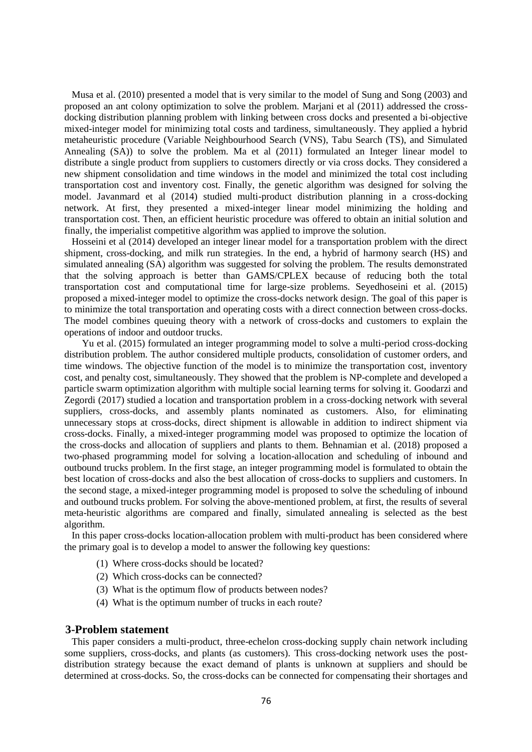Musa et al. (2010) presented a model that is very similar to the model of Sung and Song (2003) and proposed an ant colony optimization to solve the problem. Marjani et al (2011) addressed the crossdocking distribution planning problem with linking between cross docks and presented a bi-objective mixed-integer model for minimizing total costs and tardiness, simultaneously. They applied a hybrid metaheuristic procedure (Variable Neighbourhood Search (VNS), Tabu Search (TS), and Simulated Annealing (SA)) to solve the problem. Ma et al (2011) formulated an Integer linear model to distribute a single product from suppliers to customers directly or via cross docks. They considered a new shipment consolidation and time windows in the model and minimized the total cost including transportation cost and inventory cost. Finally, the genetic algorithm was designed for solving the model. Javanmard et al (2014) studied multi-product distribution planning in a cross-docking network. At first, they presented a mixed-integer linear model minimizing the holding and transportation cost. Then, an efficient heuristic procedure was offered to obtain an initial solution and finally, the imperialist competitive algorithm was applied to improve the solution.

 Hosseini et al (2014) developed an integer linear model for a transportation problem with the direct shipment, cross-docking, and milk run strategies. In the end, a hybrid of harmony search (HS) and simulated annealing (SA) algorithm was suggested for solving the problem. The results demonstrated that the solving approach is better than GAMS/CPLEX because of reducing both the total transportation cost and computational time for large-size problems. Seyedhoseini et al. (2015) proposed a mixed-integer model to optimize the cross-docks network design. The goal of this paper is to minimize the total transportation and operating costs with a direct connection between cross-docks. The model combines queuing theory with a network of cross-docks and customers to explain the operations of indoor and outdoor trucks.

Yu et al. (2015) formulated an integer programming model to solve a multi-period cross-docking distribution problem. The author considered multiple products, consolidation of customer orders, and time windows. The objective function of the model is to minimize the transportation cost, inventory cost, and penalty cost, simultaneously. They showed that the problem is NP-complete and developed a particle swarm optimization algorithm with multiple social learning terms for solving it. Goodarzi and Zegordi (2017) studied a location and transportation problem in a cross-docking network with several suppliers, cross-docks, and assembly plants nominated as customers. Also, for eliminating unnecessary stops at cross-docks, direct shipment is allowable in addition to indirect shipment via cross-docks. Finally, a mixed-integer programming model was proposed to optimize the location of the cross-docks and allocation of suppliers and plants to them. Behnamian et al. (2018) proposed a two-phased programming model for solving a location-allocation and scheduling of inbound and outbound trucks problem. In the first stage, an integer programming model is formulated to obtain the best location of cross-docks and also the best allocation of cross-docks to suppliers and customers. In the second stage, a mixed-integer programming model is proposed to solve the scheduling of inbound and outbound trucks problem. For solving the above-mentioned problem, at first, the results of several meta-heuristic algorithms are compared and finally, simulated annealing is selected as the best algorithm.

 In this paper cross-docks location-allocation problem with multi-product has been considered where the primary goal is to develop a model to answer the following key questions:

- (1) Where cross-docks should be located?
- (2) Which cross-docks can be connected?
- (3) What is the optimum flow of products between nodes?
- (4) What is the optimum number of trucks in each route?

## **3-Problem statement**

 This paper considers a multi-product, three-echelon cross-docking supply chain network including some suppliers, cross-docks, and plants (as customers). This cross-docking network uses the postdistribution strategy because the exact demand of plants is unknown at suppliers and should be determined at cross-docks. So, the cross-docks can be connected for compensating their shortages and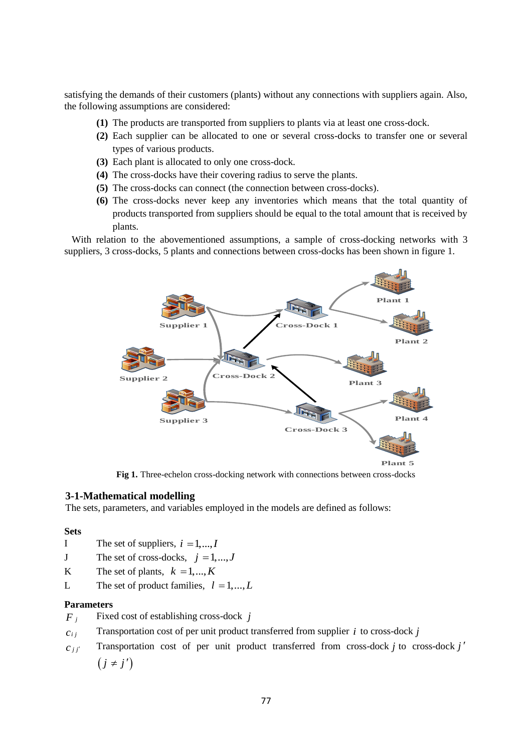satisfying the demands of their customers (plants) without any connections with suppliers again. Also, the following assumptions are considered:

- **(1)** The products are transported from suppliers to plants via at least one cross-dock.
- **(2)** Each supplier can be allocated to one or several cross-docks to transfer one or several types of various products.
- **(3)** Each plant is allocated to only one cross-dock.
- **(4)** The cross-docks have their covering radius to serve the plants.
- **(5)** The cross-docks can connect (the connection between cross-docks).
- **(6)** The cross-docks never keep any inventories which means that the total quantity of products transported from suppliers should be equal to the total amount that is received by plants.

 With relation to the abovementioned assumptions, a sample of cross-docking networks with 3 suppliers, 3 cross-docks, 5 plants and connections between cross-docks has been shown in figure 1.



**Fig 1.** Three-echelon cross-docking network with connections between cross-docks

#### **3-1-Mathematical modelling**

The sets, parameters, and variables employed in the models are defined as follows:

## **Sets**

- I The set of suppliers,  $i = 1, ..., l$
- J The set of cross-docks,  $j = 1, ..., J$
- K The set of plants,  $k = 1, ..., K$
- L The set of product families,  $l = 1, ..., L$

## **Parameters**

- $F_i$ Fixed cost of establishing cross-dock *j*
- *cij* Transportation cost of per unit product transferred from supplier *i* to cross-dock *j*
- $c_{i'i'}$ Transportation cost of per unit product transferred from cross-dock *j* to cross-dock *j*  $(j \neq j')$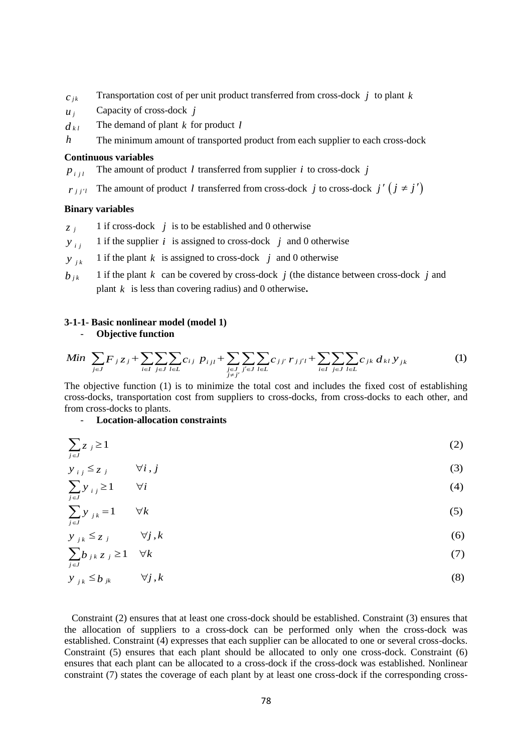- *c jk* Transportation cost of per unit product transferred from cross-dock *j* to plant *k*
- $u_j$ Capacity of cross-dock *j*
- $d_{kl}$ The demand of plant *k* for product *l*
- *h* The minimum amount of transported product from each supplier to each cross-dock

#### **Continuous variables**

 $\dot{p}_{i}$ <sub>*i* $i$ </sub> The amount of product  $l$  transferred from supplier  $i$  to cross-dock  $j$ 

 $r_{j}$  *j'l* The amount of product *l* transferred from cross-dock *j* to cross-dock  $j'(j \neq j')$ 

## **Binary variables**

- *z j* 1 if cross-dock  $j$  is to be established and 0 otherwise
- $y_i$ 1 if the supplier  $i$  is assigned to cross-dock  $j$  and 0 otherwise
- $y_{ik}$ 1 if the plant  $k$  is assigned to cross-dock  $j$  and 0 otherwise
- $b_{ik}$ 1 if the plant  $k$  can be covered by cross-dock  $j$  (the distance between cross-dock  $j$  and plant *k* is less than covering radius) and 0 otherwise**.**

#### **3-1-1- Basic nonlinear model (model 1)**

**Objective function** 

$$
Min \sum_{j \in J} F_{j} z_{j} + \sum_{i \in I} \sum_{j \in J} \sum_{l \in L} c_{ij} p_{ijl} + \sum_{\substack{j \in J \\ j \neq j'}} \sum_{l \in L} \sum_{l \in L} c_{jj'} r_{jj'l} + \sum_{i \in I} \sum_{j \in J} \sum_{l \in L} c_{jk} d_{kl} y_{jk}
$$
(1)

The objective function (1) is to minimize the total cost and includes the fixed cost of establishing cross-docks, transportation cost from suppliers to cross-docks, from cross-docks to each other, and from cross-docks to plants.

## - **Location-allocation constraints**

$$
\sum_{j \in J} z_j \ge 1 \tag{2}
$$

$$
y_{ij} \leq z_j \qquad \forall i, j \tag{3}
$$

$$
\sum y_{ij} \ge 1 \qquad \forall i \tag{4}
$$

$$
\sum_{j\in J}^{j\in J} y_{jk} = 1 \qquad \forall k
$$
 (5)

$$
y_{jk} \leq z_j \qquad \forall j,k \tag{6}
$$

$$
\sum_{j \in J} b_{jk} z_j \ge 1 \quad \forall k \tag{7}
$$

$$
y_{j,k} \leq b_{jk} \qquad \forall j,k
$$
 (8)

 Constraint (2) ensures that at least one cross-dock should be established. Constraint (3) ensures that the allocation of suppliers to a cross-dock can be performed only when the cross-dock was established. Constraint (4) expresses that each supplier can be allocated to one or several cross-docks. Constraint (5) ensures that each plant should be allocated to only one cross-dock. Constraint (6) ensures that each plant can be allocated to a cross-dock if the cross-dock was established. Nonlinear constraint (7) states the coverage of each plant by at least one cross-dock if the corresponding cross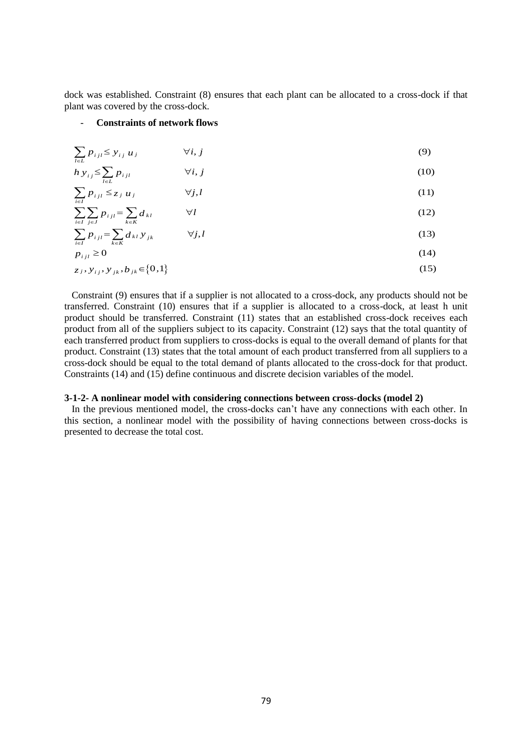dock was established. Constraint (8) ensures that each plant can be allocated to a cross-dock if that plant was covered by the cross-dock.

## - **Constraints of network flows**

*i I*

$$
\sum_{i \in L} p_{ij} \leq y_{ij} u_j \qquad \forall i, j \qquad (9)
$$

$$
h y_{ij} \le \sum_{l \in L} p_{ijl} \qquad \qquad \forall i, j \tag{10}
$$

$$
\sum p_{ijl} \leq z_j u_j \qquad \forall j,l \qquad (11)
$$

$$
\sum_{i\in I} \sum_{j\in J} p_{ijl} = \sum_{k\in K} d_{kl} \qquad \forall l
$$
 (12)

$$
\sum_{i \in I} p_{ij} = \sum_{k \in K} d_{kl} y_{jk} \qquad \forall j, l \tag{13}
$$

$$
p_{ijl} \ge 0 \tag{14}
$$

$$
z_j, y_{ij}, y_{jk}, b_{jk} \in \{0, 1\}
$$
 (15)

 Constraint (9) ensures that if a supplier is not allocated to a cross-dock, any products should not be transferred. Constraint (10) ensures that if a supplier is allocated to a cross-dock, at least h unit product should be transferred. Constraint (11) states that an established cross-dock receives each product from all of the suppliers subject to its capacity. Constraint (12) says that the total quantity of each transferred product from suppliers to cross-docks is equal to the overall demand of plants for that product. Constraint (13) states that the total amount of each product transferred from all suppliers to a cross-dock should be equal to the total demand of plants allocated to the cross-dock for that product. Constraints (14) and (15) define continuous and discrete decision variables of the model.

#### **3-1-2- A nonlinear model with considering connections between cross-docks (model 2)**

 In the previous mentioned model, the cross-docks can't have any connections with each other. In this section, a nonlinear model with the possibility of having connections between cross-docks is presented to decrease the total cost.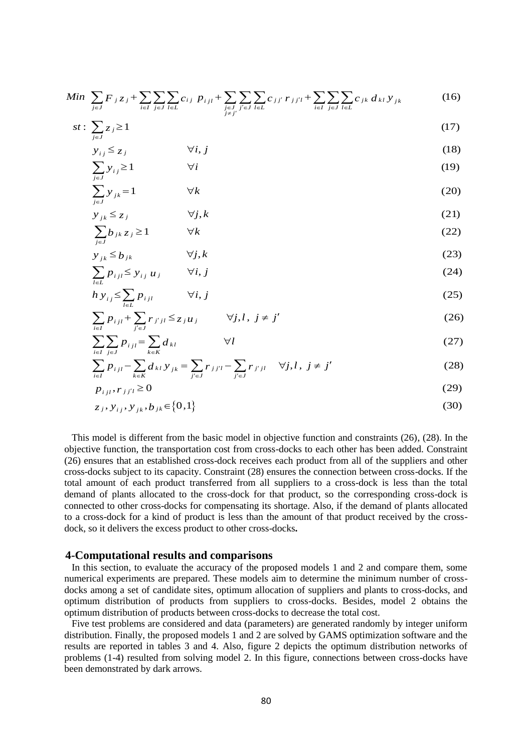$$
Min \sum_{j \in J} F_{j} z_{j} + \sum_{i \in I} \sum_{j \in J} \sum_{l \in L} c_{ij} p_{ijl} + \sum_{\substack{j \in J \\ j \neq j'}} \sum_{j' \in J} \sum_{l \in L} c_{jj'} r_{jj'l} + \sum_{i \in I} \sum_{j \in J} \sum_{l \in L} c_{jk} d_{kl} y_{jk}
$$
(16)

$$
st: \sum_{j \in J} z_j \ge 1 \tag{17}
$$

$$
y_{ij} \le z_j \qquad \forall i, j
$$
\n
$$
\sum y_{ij} \ge 1 \qquad \forall i
$$
\n(18)

$$
\sum_{j\in J}^{j\in J} y_{jk} = 1 \qquad \forall k \tag{20}
$$

$$
y_{jk} \le z_j \qquad \forall j,k \tag{21}
$$

$$
\sum_{j\in J} b_{jk} z_j \ge 1 \qquad \forall k
$$
 (22)

$$
y_{jk} \leq b_{jk} \qquad \forall j,k
$$
  

$$
\sum_{l \in L} p_{ijl} \leq y_{ij} u_j \qquad \forall i,j
$$
 (23)

$$
h\, y_{ij} \le \sum_{l \in L} p_{ijl} \qquad \forall i, j \tag{25}
$$

$$
\sum_{i\in I} p_{ijl} + \sum_{j'\in J} r_{j'jl} \leq z_j u_j \qquad \forall j, l, j \neq j'
$$
 (26)

$$
\sum_{i \in I} \sum_{j \in J} p_{ijl} = \sum_{k \in K} d_{kl} \qquad \forall l
$$
 (27)

$$
\sum_{i \in I} p_{ijl} - \sum_{k \in K} d_{kl} y_{jk} = \sum_{j' \in J} r_{jj'l} - \sum_{j' \in J} r_{j'jl} \quad \forall j, l, j \neq j'
$$
 (28)

$$
p_{ijl}, r_{jjl} \ge 0 \tag{29}
$$

$$
z_j, y_{ij}, y_{jk}, b_{jk} \in \{0, 1\}
$$
 (30)

 This model is different from the basic model in objective function and constraints (26), (28). In the objective function, the transportation cost from cross-docks to each other has been added. Constraint (26) ensures that an established cross-dock receives each product from all of the suppliers and other cross-docks subject to its capacity. Constraint (28) ensures the connection between cross-docks. If the total amount of each product transferred from all suppliers to a cross-dock is less than the total demand of plants allocated to the cross-dock for that product, so the corresponding cross-dock is connected to other cross-docks for compensating its shortage. Also, if the demand of plants allocated to a cross-dock for a kind of product is less than the amount of that product received by the crossdock, so it delivers the excess product to other cross-docks**.**

#### **4-Computational results and comparisons**

 In this section, to evaluate the accuracy of the proposed models 1 and 2 and compare them, some numerical experiments are prepared. These models aim to determine the minimum number of crossdocks among a set of candidate sites, optimum allocation of suppliers and plants to cross-docks, and optimum distribution of products from suppliers to cross-docks. Besides, model 2 obtains the optimum distribution of products between cross-docks to decrease the total cost.

 Five test problems are considered and data (parameters) are generated randomly by integer uniform distribution. Finally, the proposed models 1 and 2 are solved by GAMS optimization software and the results are reported in tables 3 and 4. Also, figure 2 depicts the optimum distribution networks of problems (1-4) resulted from solving model 2. In this figure, connections between cross-docks have been demonstrated by dark arrows.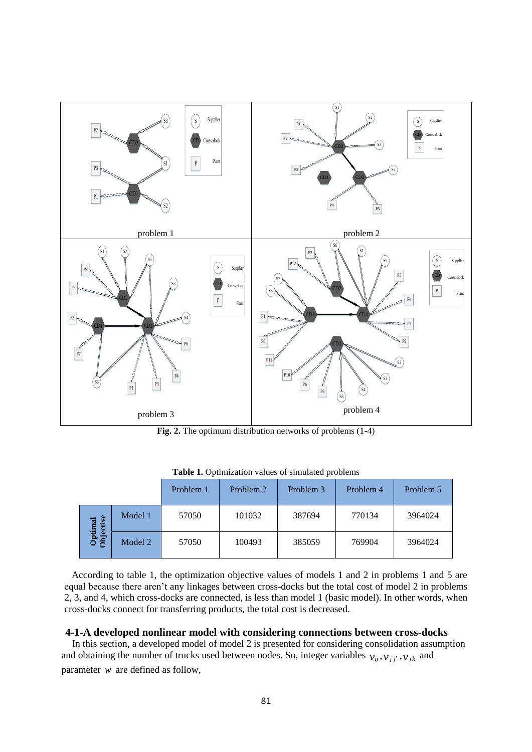

**Fig. 2.** The optimum distribution networks of problems  $(1-4)$ 

|                                   |         | Problem 1 | Problem 2 | Problem 3 | Problem 4 | Problem 5 |
|-----------------------------------|---------|-----------|-----------|-----------|-----------|-----------|
| g<br>timal<br>Objectiv<br>ē,<br>0 | Model 1 | 57050     | 101032    | 387694    | 770134    | 3964024   |
|                                   | Model 2 | 57050     | 100493    | 385059    | 769904    | 3964024   |

Table 1. Optimization values of simulated problems

 According to table 1, the optimization objective values of models 1 and 2 in problems 1 and 5 are equal because there aren't any linkages between cross-docks but the total cost of model 2 in problems 2, 3, and 4, which cross-docks are connected, is less than model 1 (basic model). In other words, when cross-docks connect for transferring products, the total cost is decreased.

# **4-1-A developed nonlinear model with considering connections between cross-docks**

 In this section, a developed model of model 2 is presented for considering consolidation assumption and obtaining the number of trucks used between nodes. So, integer variables  $v_{ij}$ ,  $v_{j}$ ,  $v_{jk}$  and parameter *w* are defined as follow,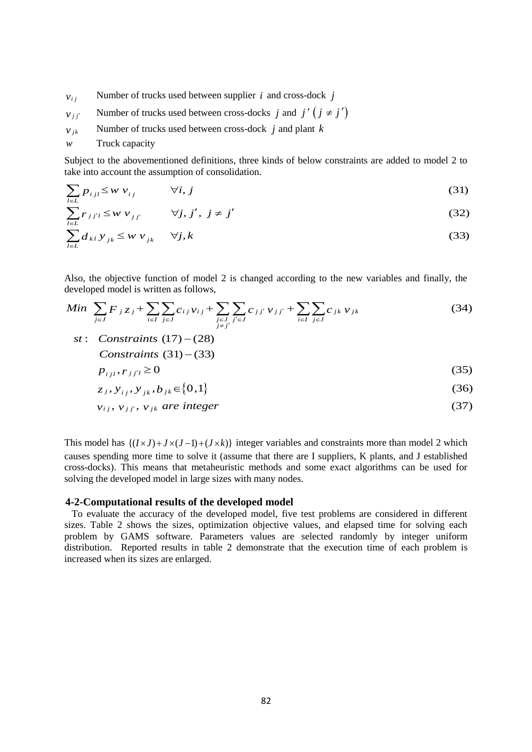- $v_{i,i}$ Number of trucks used between supplier *i* and cross-dock *j*
- $v$ <sub>*j* $i$ </sup></sub> Number of trucks used between cross-docks *j* and  $j' (j \neq j')$
- *v jk* Number of trucks used between cross-dock *j* and plant *k*

*w* Truck capacity

*l L*

Subject to the abovementioned definitions, three kinds of below constraints are added to model 2 to take into account the assumption of consolidation.

$$
\sum p_{ij} \leq w v_{ij} \qquad \forall i, j \tag{31}
$$

$$
\sum_{l \in L} r_{jj'l} \le w v_{jj'} \qquad \forall j, j', j \neq j'
$$
\n(32)

$$
\sum_{l\in L} d_{kl} y_{jk} \le w v_{jk} \quad \forall j,k
$$
\n(33)

Also, the objective function of model 2 is changed according to the new variables and finally, the developed model is written as follows,

Min 
$$
\sum_{j\in J} F_{j Z j} + \sum_{i\in I} \sum_{j\in J} c_{i j} v_{i j} + \sum_{\substack{j\in J \\ j \neq j'}} \sum_{j'\in J} c_{j j'} v_{j j'} + \sum_{i\in I} \sum_{j\in J} c_{j k} v_{j k}
$$
 (34)

*st*: *Constraints* (17) – (28)

$$
Constraints (31) - (33)
$$
\n
$$
67.33
$$

$$
p_{ijl}, r_{jj'l} \ge 0\tag{35}
$$

$$
z_j, y_{ij}, y_{jk}, b_{jk} \in \{0,1\}
$$
 (36)

$$
v_{ij},\,v_{jj'},\,v_{jk}\,\,are\,\,integer\,\,(37)
$$

This model has  $\{(I \times J) + J \times (J - I) + (J \times k)\}$  integer variables and constraints more than model 2 which causes spending more time to solve it (assume that there are I suppliers, K plants, and J established cross-docks). This means that metaheuristic methods and some exact algorithms can be used for solving the developed model in large sizes with many nodes.

#### **4-2-Computational results of the developed model**

 To evaluate the accuracy of the developed model, five test problems are considered in different sizes. Table 2 shows the sizes, optimization objective values, and elapsed time for solving each problem by GAMS software. Parameters values are selected randomly by integer uniform distribution. Reported results in table 2 demonstrate that the execution time of each problem is increased when its sizes are enlarged.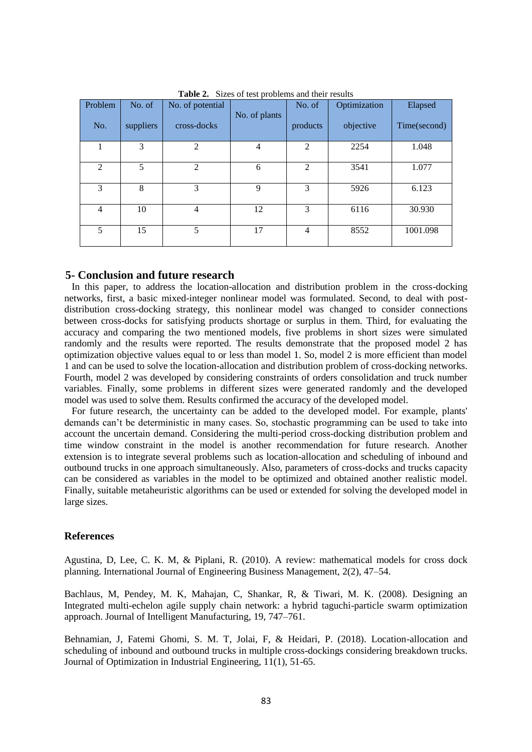| <b>Table 2.</b> DIZES OF RSt problems and their results |           |                  |                |          |              |              |  |  |  |  |
|---------------------------------------------------------|-----------|------------------|----------------|----------|--------------|--------------|--|--|--|--|
| Problem                                                 | No. of    | No. of potential |                | No. of   | Optimization | Elapsed      |  |  |  |  |
| No.                                                     | suppliers | cross-docks      | No. of plants  | products | objective    | Time(second) |  |  |  |  |
|                                                         | 3         | $\overline{2}$   | $\overline{4}$ | 2        | 2254         | 1.048        |  |  |  |  |
| 2                                                       | 5         | $\overline{2}$   | 6              | 2        | 3541         | 1.077        |  |  |  |  |
| 3                                                       | 8         | 3                | 9              | 3        | 5926         | 6.123        |  |  |  |  |
| 4                                                       | 10        | $\overline{4}$   | 12             | 3        | 6116         | 30.930       |  |  |  |  |
| 5                                                       | 15        | 5                | 17             | 4        | 8552         | 1001.098     |  |  |  |  |

**Table 2.** Sizes of test problems and their results

## **5- Conclusion and future research**

 In this paper, to address the location-allocation and distribution problem in the cross-docking networks, first, a basic mixed-integer nonlinear model was formulated. Second, to deal with postdistribution cross-docking strategy, this nonlinear model was changed to consider connections between cross-docks for satisfying products shortage or surplus in them. Third, for evaluating the accuracy and comparing the two mentioned models, five problems in short sizes were simulated randomly and the results were reported. The results demonstrate that the proposed model 2 has optimization objective values equal to or less than model 1. So, model 2 is more efficient than model 1 and can be used to solve the location-allocation and distribution problem of cross-docking networks. Fourth, model 2 was developed by considering constraints of orders consolidation and truck number variables. Finally, some problems in different sizes were generated randomly and the developed model was used to solve them. Results confirmed the accuracy of the developed model.

 For future research, the uncertainty can be added to the developed model. For example, plants' demands can't be deterministic in many cases. So, stochastic programming can be used to take into account the uncertain demand. Considering the multi-period cross-docking distribution problem and time window constraint in the model is another recommendation for future research. Another extension is to integrate several problems such as location-allocation and scheduling of inbound and outbound trucks in one approach simultaneously. Also, parameters of cross-docks and trucks capacity can be considered as variables in the model to be optimized and obtained another realistic model. Finally, suitable metaheuristic algorithms can be used or extended for solving the developed model in large sizes.

#### **References**

Agustina, D, Lee, C. K. M, & Piplani, R. (2010). A review: mathematical models for cross dock planning. International Journal of Engineering Business Management, 2(2), 47–54.

Bachlaus, M, Pendey, M. K, Mahajan, C, Shankar, R, & Tiwari, M. K. (2008). Designing an Integrated multi-echelon agile supply chain network: a hybrid taguchi-particle swarm optimization approach. Journal of Intelligent Manufacturing, 19, 747–761.

Behnamian, J, Fatemi Ghomi, S. M. T, Jolai, F, & Heidari, P. (2018). Location-allocation and scheduling of inbound and outbound trucks in multiple cross-dockings considering breakdown trucks. Journal of Optimization in Industrial Engineering, 11(1), 51-65.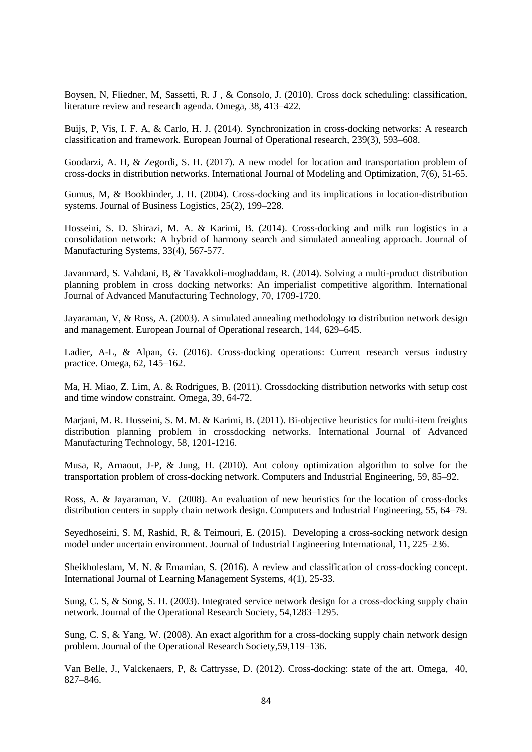Boysen, N, Fliedner, M, Sassetti, R. J , & Consolo, J. (2010). Cross dock scheduling: classification, literature review and research agenda. Omega, 38, 413–422.

Buijs, P, Vis, I. F. A, & Carlo, H. J. (2014). Synchronization in cross-docking networks: A research classification and framework. European Journal of Operational research, 239(3), 593–608.

Goodarzi, A. H, & Zegordi, S. H. (2017). A new model for location and transportation problem of cross-docks in distribution networks. International Journal of Modeling and Optimization, 7(6), 51-65.

Gumus, M, & Bookbinder, J. H. (2004). Cross-docking and its implications in location-distribution systems. Journal of Business Logistics, 25(2), 199–228.

Hosseini, S. D. Shirazi, M. A. & Karimi, B. (2014). Cross-docking and milk run logistics in a consolidation network: A hybrid of harmony search and simulated annealing approach. Journal of Manufacturing Systems, 33(4), 567-577.

Javanmard, S. Vahdani, B, & Tavakkoli-moghaddam, R. (2014). Solving a multi-product distribution planning problem in cross docking networks: An imperialist competitive algorithm. International Journal of Advanced Manufacturing Technology, 70, 1709-1720.

Jayaraman, V, & Ross, A. (2003). A simulated annealing methodology to distribution network design and management. European Journal of Operational research, 144, 629–645.

Ladier, A-L, & Alpan, G. (2016). Cross-docking operations: Current research versus industry practice. Omega, 62, 145–162.

Ma, H. Miao, Z. Lim, A. & Rodrigues, B. (2011). Crossdocking distribution networks with setup cost and time window constraint. Omega, 39, 64-72.

Marjani, M. R. Husseini, S. M. M. & Karimi, B. (2011). Bi-objective heuristics for multi-item freights distribution planning problem in crossdocking networks. International Journal of Advanced Manufacturing Technology, 58, 1201-1216.

Musa, R, Arnaout, J-P, & Jung, H. (2010). Ant colony optimization algorithm to solve for the transportation problem of cross-docking network. Computers and Industrial Engineering, 59, 85–92.

Ross, A. & Jayaraman, V. (2008). An evaluation of new heuristics for the location of cross-docks distribution centers in supply chain network design. Computers and Industrial Engineering, 55, 64–79.

Seyedhoseini, S. M, Rashid, R, & Teimouri, E. (2015). Developing a cross-socking network design model under uncertain environment. Journal of Industrial Engineering International, 11, 225–236.

Sheikholeslam, M. N. & Emamian, S. (2016). A review and classification of cross-docking concept. International Journal of Learning Management Systems, 4(1), 25-33.

Sung, C. S, & Song, S. H. (2003). Integrated service network design for a cross-docking supply chain network. Journal of the Operational Research Society, 54,1283–1295.

Sung, C. S, & Yang, W. (2008). An exact algorithm for a cross-docking supply chain network design problem. Journal of the Operational Research Society,59,119–136.

Van Belle, J., Valckenaers, P, & Cattrysse, D. (2012). Cross-docking: state of the art. Omega, 40, 827–846.